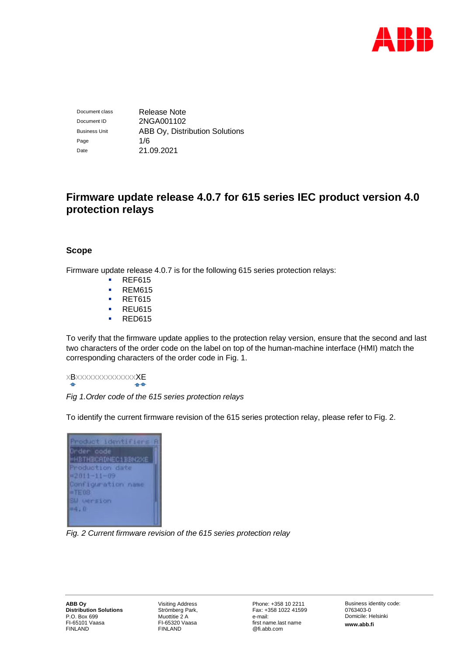

Document class Release Note Document ID 2NGA001102 Business Unit **ABB Oy, Distribution Solutions** Page  $1/6$ Date 21.09.2021

# **Firmware update release 4.0.7 for 615 series IEC product version 4.0 protection relays**

# **Scope**

Firmware update release 4.0.7 is for the following 615 series protection relays:

- **REF615**
- **REM615**
- **RET615**
- **REU615**
- **RED615**

To verify that the firmware update applies to the protection relay version, ensure that the second and last two characters of the order code on the label on top of the human-machine interface (HMI) match the corresponding characters of the order code in Fig. 1.

xBxxxxxxxxxxxxxxXE

*Fig 1.Order code of the 615 series protection relays*

To identify the current firmware revision of the 615 series protection relay, please refer to Fig. 2.

| Product identifiers A      |  |
|----------------------------|--|
| Order oode                 |  |
| <b>=HBTHBCRDNEC1BBN2XE</b> |  |
| Production date            |  |
| $= 2011 - 11 - 09$         |  |
| Configuration name         |  |
| $=$ TE03                   |  |
| SU version                 |  |
| <b>#4.0</b>                |  |
|                            |  |

*Fig. 2 Current firmware revision of the 615 series protection relay*

Visiting Address Strömberg Park, Muottitie 2 A FI-65320 Vaasa FINLAND

Phone: +358 10 2211 Fax: +358 1022 41599 e-mail: first name.last name @fi.abb.com

Business identity code: 0763403-0 Domicile: Helsinki **www.abb.fi**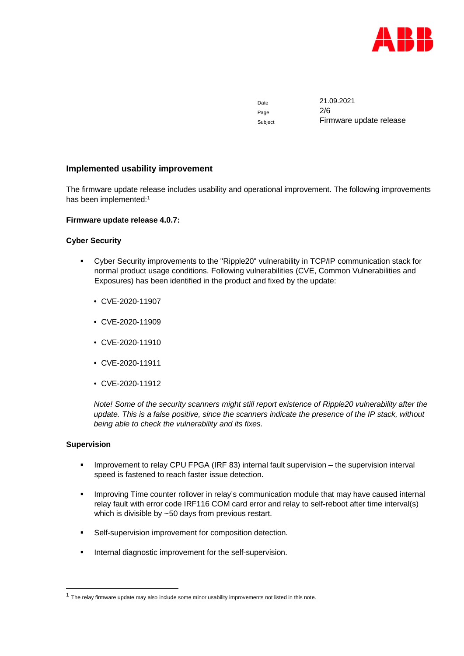

Page 2/6

Date 21.09.2021 Subject Firmware update release

# **Implemented usability improvement**

The firmware update release includes usability and operational improvement. The following improvements has been implemented:<sup>1</sup>

# **Firmware update release 4.0.7:**

# **Cyber Security**

- Cyber Security improvements to the "Ripple20" vulnerability in TCP/IP communication stack for normal product usage conditions. Following vulnerabilities (CVE, Common Vulnerabilities and Exposures) has been identified in the product and fixed by the update:
	- CVE-2020-11907
	- CVE-2020-11909
	- CVE-2020-11910
	- CVE-2020-11911
	- CVE-2020-11912

*Note! Some of the security scanners might still report existence of Ripple20 vulnerability after the update. This is a false positive, since the scanners indicate the presence of the IP stack, without being able to check the vulnerability and its fixes.*

### **Supervision**

- **IMPROVEMENT IS COVERGED FIGUAL COVERGED** internal fault supervision the supervision interval speed is fastened to reach faster issue detection.
- Improving Time counter rollover in relay's communication module that may have caused internal relay fault with error code IRF116 COM card error and relay to self-reboot after time interval(s) which is divisible by ~50 days from previous restart.
- **Self-supervision improvement for composition detection.**
- **Internal diagnostic improvement for the self-supervision.**

 $<sup>1</sup>$  The relay firmware update may also include some minor usability improvements not listed in this note.</sup>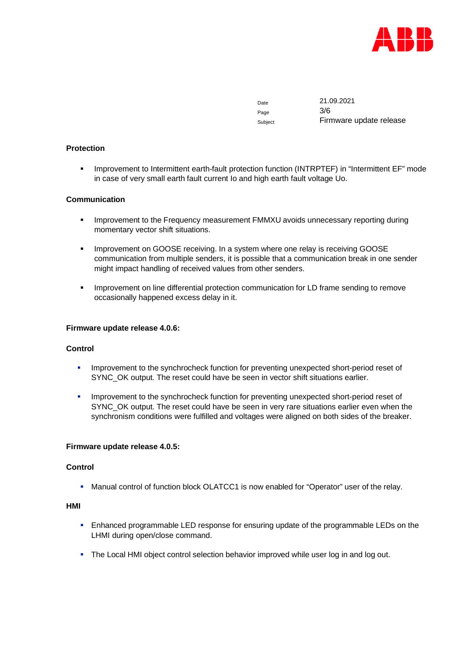

Page 3/6

Date 21.09.2021 Subject Firmware update release

# **Protection**

**IMPROVEMENT to Intermittent earth-fault protection function (INTRPTEF) in "Intermittent EF" mode** in case of very small earth fault current Io and high earth fault voltage Uo.

# **Communication**

- **IMPROVEMENT TO THE FREQUENCY MEASUREM FOR THE IMM SUBSEX 10 HOMOGETY AND THE EXAMPLE OF THE IMM CONGLET IMM CONGLET CONGLET CONGLET CONGLET CONGLET CONGLET CONGLET CONGLET CONGLET CONGLET CONGL** momentary vector shift situations.
- **IMPROVEMENT ON GOOSE receiving. In a system where one relay is receiving GOOSE** communication from multiple senders, it is possible that a communication break in one sender might impact handling of received values from other senders.
- **IMPROVEMENT ON LINE DIFFERENT CONTENT** communication for LD frame sending to remove occasionally happened excess delay in it.

#### **Firmware update release 4.0.6:**

### **Control**

- **IMPROVEMENT TO THE SYNCHROCHECK** function for preventing unexpected short-period reset of SYNC\_OK output. The reset could have be seen in vector shift situations earlier.
- **IMPROVEMENT KOREY IMPROVEMENT IMPLY** Improvement to the synchrocheck function for preventing unexpected short-period reset of SYNC\_OK output. The reset could have be seen in very rare situations earlier even when the synchronism conditions were fulfilled and voltages were aligned on both sides of the breaker.

# **Firmware update release 4.0.5:**

# **Control**

**Manual control of function block OLATCC1 is now enabled for "Operator" user of the relay.** 

#### **HMI**

- **Enhanced programmable LED response for ensuring update of the programmable LEDs on the** LHMI during open/close command.
- The Local HMI object control selection behavior improved while user log in and log out.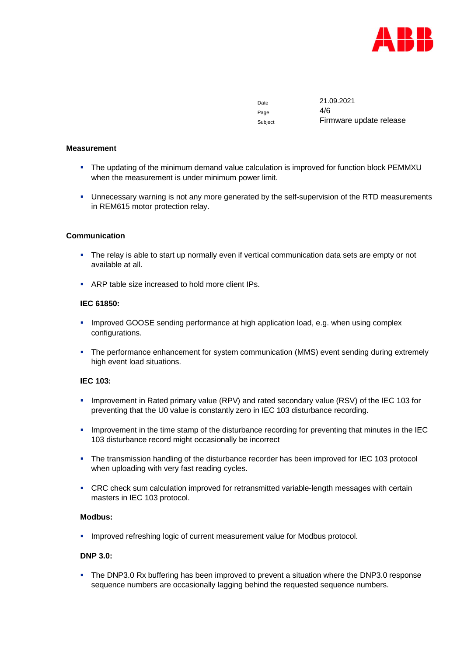

Page  $4/6$ 

Date 21.09.2021 Subject Firmware update release

#### **Measurement**

- The updating of the minimum demand value calculation is improved for function block PEMMXU when the measurement is under minimum power limit.
- **Unnecessary warning is not any more generated by the self-supervision of the RTD measurements** in REM615 motor protection relay.

### **Communication**

- The relay is able to start up normally even if vertical communication data sets are empty or not available at all.
- **ARP table size increased to hold more client IPs.**

# **IEC 61850:**

- **Improved GOOSE sending performance at high application load, e.g. when using complex** configurations.
- The performance enhancement for system communication (MMS) event sending during extremely high event load situations.

# **IEC 103:**

- Improvement in Rated primary value (RPV) and rated secondary value (RSV) of the IEC 103 for preventing that the U0 value is constantly zero in IEC 103 disturbance recording.
- **IMPROVEMENT IN THE 19 IMPROVEMENT IN the time stamp of the disturbance recording for preventing that minutes in the IEC** 103 disturbance record might occasionally be incorrect
- The transmission handling of the disturbance recorder has been improved for IEC 103 protocol when uploading with very fast reading cycles.
- CRC check sum calculation improved for retransmitted variable-length messages with certain masters in IEC 103 protocol.

# **Modbus:**

**Improved refreshing logic of current measurement value for Modbus protocol.** 

### **DNP 3.0:**

The DNP3.0 Rx buffering has been improved to prevent a situation where the DNP3.0 response sequence numbers are occasionally lagging behind the requested sequence numbers.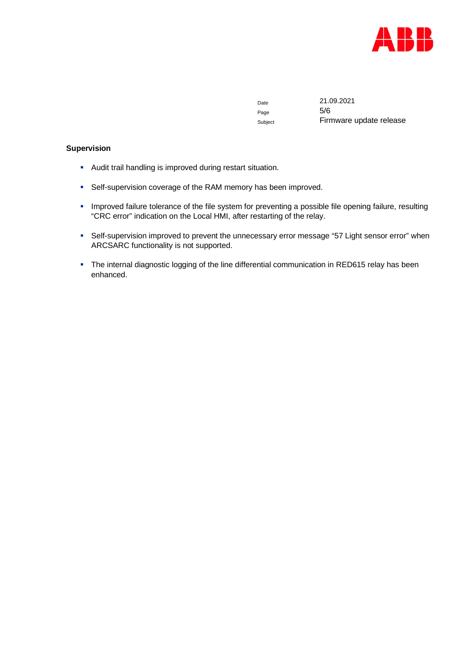

Page 5/6

Date 21.09.2021 Subject Firmware update release

# **Supervision**

- Audit trail handling is improved during restart situation.
- **Self-supervision coverage of the RAM memory has been improved.**
- **IMPROVED failure tolerance of the file system for preventing a possible file opening failure, resulting** "CRC error" indication on the Local HMI, after restarting of the relay.
- Self-supervision improved to prevent the unnecessary error message "57 Light sensor error" when ARCSARC functionality is not supported.
- The internal diagnostic logging of the line differential communication in RED615 relay has been enhanced.